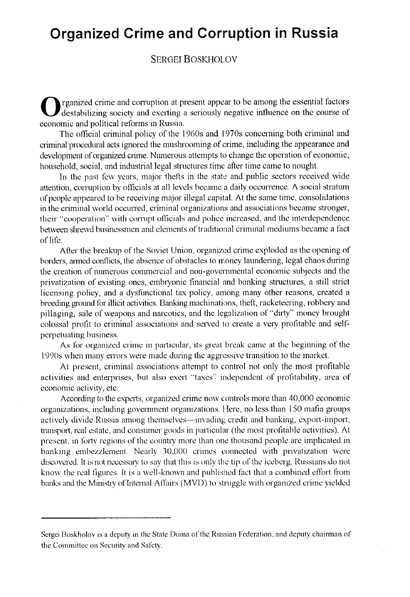## **Organized Crime and Corruption in Russia**

### SERGEI BOSKHOLOV

rganized crime and corruption at present appear to be among the essential factors destabilizing society and exerting a seriously negative influence on the course of economic and political reforms in Russia.

The official criminal policy of the 1960s and 1970s concerning both criminal and criminal procedural acts ignored the mushrooming of crime, including the appearance and development of organized crime. Numerous attempts to change the operation of economic, household, social, and industrial legal structures time after time came to nought.

In the past few years, major thefs in the state and public sectors received wide attention, corruption by officials at all levels became a daily occurrence. A social stratum of people appeared lo he receiving major ¡Ilegal capital. At the same time, consolidations in the criminal world occurred, criminal organizations and associations became stronger, their "cooperation" with corrupt officials and police increased, and the interdependence between shrewd businessmen and elements of traditional criminal mediums became a fact of life.

After the breakup of the Soviet Union, organized crime exploded as the opening of borders, armed conilicts, the absence of obstacles lo money laundering, legal chaos during the creation of numerous commcrcial and non-governmental economic suhjects and the privatization of existing ones, embryonic financial and banking structures, a still strict licensing policy, and a dysfunctional tax policy, among many other reasons, created a breeding ground for illicit activities. Banking machinations, theft, racketeering, robbery and pillaging, sale of weapons and narcotics, and the legalization of " dirty" money brought colossal protit lo criminal associations and served lo create a very protitable and selfperpetuating business.

As for organized crime in particular, its great break came at the beginning of the 1990s when many errors were made during the aggressive transition lo the market.

At present, criminal associations attempt to control not only the most profitable activities and enterprises, but also exert "taxes" independent of proütability, area of economic activity, etc.

According to the experts, organized crime now controls more than 40,000 economic organizations, including government organizations. Here, no less than 150 mafia groups actively divide Russia among themselves—invading credit and banking, export-import, transport, real estate, and consumer goods in particular (the most protitable activities). At present, in forty regions of the country more than one thousand people are implicated in hanking emhezzlement. Nearly 30,000 crimes connected with privatization were discovered. It is not necessary lo say that this is only the tip of the iceberg. Russians do not know the real figures. It is a well-known and published fact that a combined effort from banks and the Ministry of Internal Affairs (MVD) to struggle with organized crime yielded

Sergei Boskholov is a deputy in the State Duma of the Russian Federation, and deputy chairman of the Committee on Security and Safety.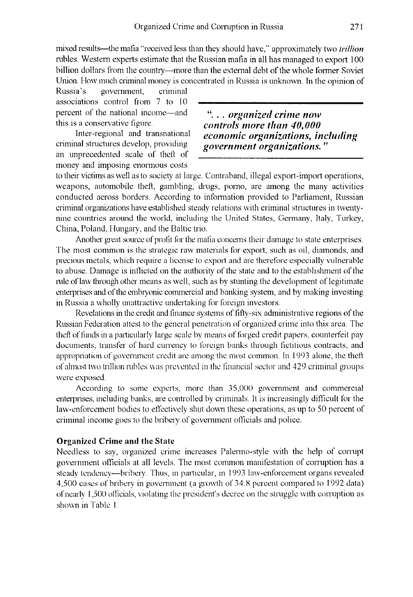mixed results—the mafia "received less than they should have," approximately two *trillion* nibles. Western experts estimate that the **Russian mafia in all has managed** lo export 100 billion dollars from the country---more than the external debt of the whole former Soviet Union. How much criminal money is concentrated in Russia is unknown. In the opinion of

Russia's government, criminal associations control from 7 to 10 percent of the national income—and *organized crime now* this is a conservative figure.

an unprecedented scale of theft of money and imposing enormous costs

is a conservative figure.<br>
Inter-regional and transnational *economic organizations* in Inter-regional and transnational *economic organizations, including* government organizations."

to their victims as well as to society at large. Contraband, illegal export-import operations, weapons, automobile theft, gambling, drugs, porno, are among the many activities conducted across borders. According to information provided to Parliament, Russian criminal organizations have established steady relations with criminal structures in twentynine countries around the world, including the United States, Germany, Italy, Turkey, China, Poland, Hungary, and the Baltic trio.

Another great source of profit for the mafia concerns their damage to state enterprises. The most common is the strategic raw materials for export, such as oil, diamonds, and precious metals, which require a license lo export and are therefore especially vulnerable to abuse. Damage is inflicted on the authority of the state and to the establishment of the rule of law through other means as well, such as by stunting the development of legitimate enterprises and of the embryonic commercial and banking system, and by making investing in Russia a wholly unattraetive undertaking for foreign investors.

Revelations in the credit and finance systems of fifty-six administrative regions of the Russian Federation attest to the general penetration of organized crime into this area. The theft of funds in a particularly large scale by means of forged credit papers, counterfeit pay documents, transfer of hard currency to foreign banks through fictitious contracts, and appropriation of government credit are among the most common. In 1993 alone, the theft of almost two trillion rubles was prevented in the financial sector and 429 criminal groups were exposed.

According to some experts, more than 35,000 government and commercial enterprises, including banks, are controlled by criminals. It is increasingly difficult for the law-enforcement bodies to effectively shut down these operations, as up to 50 percent of criminal income goes lo the bribery of government ollicials and police.

#### **Organized Crime and the State**

Needless to say, organized crime increases Palermo-style with the help of corrupt government ollicials al al] levels. The most common manifestation of conuption has a steady tendency-bribery. Thus, in particular, in 1993 law-enforcement organs revealed 4,500 cases of bribery in government (a growth of 34.8 percent compared to 1992 data) ofnearly 1,500 oflicials, violating lhe president's decree on the struggle with corruption as shown in Table 1.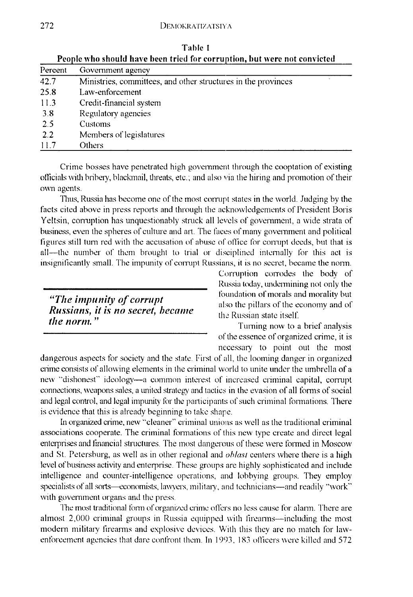| People who should have been tried for corruption, but were not convicted |                                                               |
|--------------------------------------------------------------------------|---------------------------------------------------------------|
| Percent                                                                  | Government agency                                             |
| 42.7                                                                     | Ministries, committees, and other structures in the provinces |
| 25.8                                                                     | Law-enforcement                                               |
| 11.3                                                                     | Credit-financial system                                       |
| 3.8                                                                      | Regulatory agencies                                           |
| 2.5                                                                      | Customs                                                       |
| 2.2                                                                      | Members of legislatures                                       |
| 11.7                                                                     | Others                                                        |

Table 1 People **who should llave been tried for corru^ption** , but viere **not convicted**

Crime hosses have penetrated high government through the cooptation of existing officials with bribery, blackmail, threats, etc.; and also via the hiring and promotion of their own agents.

Thus, Russia has become one of the most corrupt states in the world. Judging by the facts cited aboye in press reports and through the acknowledgements of President Boris Yeltsin, corruption has unquestionably struck all levels of government, a wide strata of business, even the spheres of culture and art. The faces of many government and political figures still turra red with the accusation of abuse of otlice for corrupt decds, hut that is all—the number of them brought to trial or disciplined internally for this act is insignificantly small. The impunity of corrupt Russians, it is no secret, became the norm.

# "The impunity of corrupt *Russians, it is no secret, became* the Russian state itself.<br>*the norm.*"

Corruption corrodes the body of Russia today, undermining not only the foundation of morals and morality but also the pillars of the economy and of

Turning now to a brief analysis of the essence of organized crime, it is necessary to point out the most

dangerous aspects for society and the state. First of all, the looming danger in organized crime consists of allowing elements in the criminal world to unite under the umbrella of a new "dishonest" ideology-a common interest of increased criminal capital, corrupt connections, weapons sales, a united strategy and tactics in the evasion of all forms of social and legal control, and legal impunity for the participants of such criminal fonnations. There is evidence that this is already beginning to take shape.

In organized crime, new "cleaner" criminal unionsas well as the traditional **criminal** associations cooperate. The criminal fonnations of this new type create and direct legal enterprises and financial structures. The most dangerous of these were formed in Moscow and St. Petershurg, as well as in other regional and *ohlasl* centers where there is a high level of business activity and enterprise. These groups are highly sophisticated and include intelligence and counter-intelligence operations, and lobhying groups. They employ specialists of all sorts-economists, lawyers, military, and technicians-and readily "work" with government organs and the press.

The most traditional form of organized crime offers no less cause for alarm. There are almost 2,000 criminal groups in Russia equipped with firearms—including the most modern military firearms and explosive devices. With this they are no match for lawenforcement agencies that dare contront them. In 1993, 183 officers were killed and 572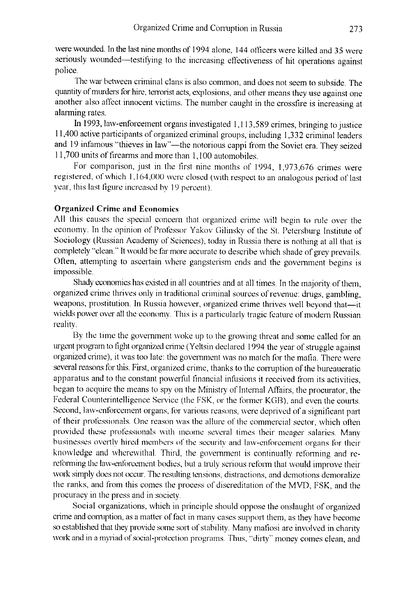were wounded. In the last nine months of 1994 alone, 144 oflicers were killed and 35 were seriously wounded-testifying to the increasing effectiveness of hit operations against police.

The war between criminal clans is also common, and does not seem to subside. The quantity of murders for hire, terrorist acts, explosions, and other means they use against one another also affect innocent victims. The number caught in the crossfire is increasing at alarming rates.

In 1993, law-enforcement organs investigated 1,1 13,589 crimes, bringing lo justice 11,400 active participants of organized criminal groups, including 1,332 criminal leaders and 19 infamous "thieves in law"-the notorious cappi from the Soviet era. They seized 11,700 units of firearms and more than 1,100 automohiles.

For comparison, just in the first nine months of 1994, 1,973,676 crimes were registered, of which 1,164,000 were closed (with respect lo an analogous period of last ycar, this last figure increased by 19 percent).

#### **Organized Crime and Economics**

All this causes the special concern that organized crime will begin to rule over the economy. In the opinion of Professor Yakov Gilinsky of the St. Petersburg Institute of Sociology (Russian Academy of Sciences), today in Russia there is nothing at all that is completely "clean." It would be far more accurate to describe which shade of grey prevails. Often, attempting to ascertain where gangsterism ends and the government begins is impossible.

Shady economics has existed in all countries and at all times. In the majority of them, organized crime thrives only in traditional criminal sources of revenue: drugs, gambling, weapons, prostitution. In Russia however, organized crime thrives well beyond that-it wields power over all the economy. This is a particularly tragic feature of modern Russian reality.

By the time the government woke up to the growing threat and some called for an urgent program lo fight organized crime (Yeltsin declared 1994 lhe year of struggle against organized crime), it was too late: the government Nvas no match for the mafia. There were several reasons for this. First, organized crime, thanks to the corruption of the bureaucratic apparatus and to the constant powerful financial infusions it received from its activities, began to acquire the means to spy on the Ministry of Internal Affairs, the procurator, the Federal Counterintelligence Service (the FSK, or the former KGB), and even the courts. Second, law-enforcement organs, for various reasons, were deprived of a signiticant part of their protéssionals. One reason was the aliare of the commercial sector, which ofien provided these professionals with income several times their meager salaries. Many businesses overtly hired members of the security and law-enforcement organs for their knowledge and wherewithal. Third, the government is continually reforming and rereforming the law-enforcement bodies, but a truly serious reform that would improve their work simply does not occur. The resulting tensions, distractions, and demotions demoralize the ranks, and from this comes the process of discreditation of the MVD, FSK, and the procuracy in the press and in society.

Social organizations, which in principie should oppose lhe onslaught of organized crime and corruption, as a matter of fact in many cases support them, as they have become so established that they provide some sort of stability. Many mafiosi are involved in charity work and in a myriad of social-protection programs. Thus, "dirty" money comes clean, and